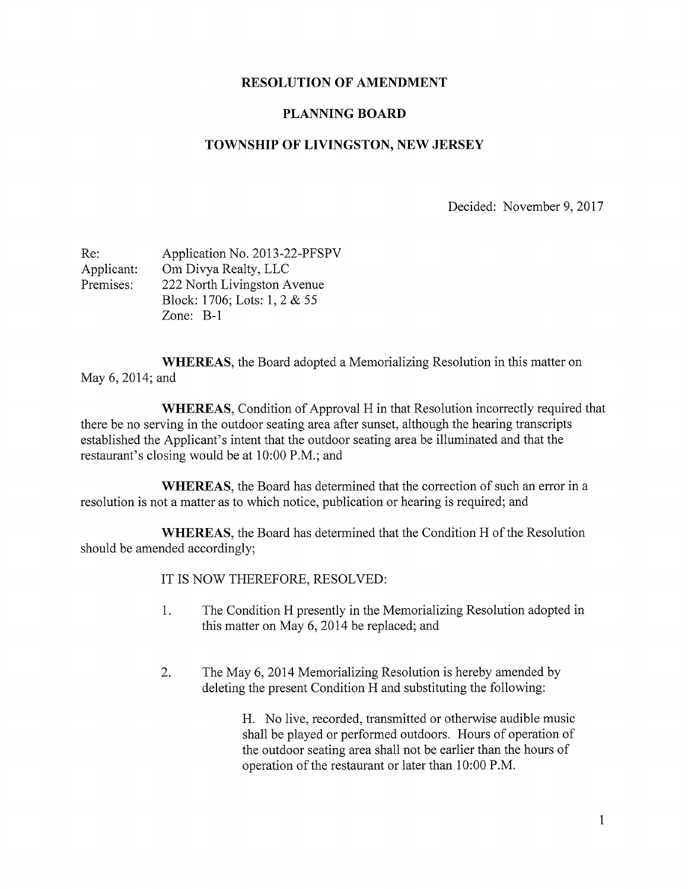## RESOLUTION OF AMENDMENT

## PLANNING BOARD

## TOWNSHIP OF LIVINGSTON, NEW JERSEY

Decided: November 9, 2017

| Re:        | Application No. 2013-22-PFSPV |
|------------|-------------------------------|
| Applicant: | Om Divya Realty, LLC          |
| Premises:  | 222 North Livingston Avenue   |
|            | Block: 1706; Lots: 1, 2 & 55  |
|            | Zone: $B-1$                   |

WHEREAS, the Board adopted a Memorializing Resolution in this matter on May 6, 2014; and

WHEREAS, Condition of Approval H in that Resolution incorrectly required that there be no serving in the outdoor seating area after sunset, although the hearing transcripts established the Applicant's intent that the outdoor seating area be illuminated and that the restaurant's closing would be at 10:00 P.M.; and

WHEREAS, the Board has determined that the correction of such an error in <sup>a</sup> resolution is not a matter as to which notice, publication or hearing is required; and

WHEREAS, the Board has determined that the Condition H of the Resolution should be amended accordingly;

IT IS NOW THEREFORE, RESOLVED:

- 1. The Condition H presently in the Memorializing Resolution adopted in this matter on May 6, 2014 be replaced; and
- 2. The May 6, 2014 Memorializing Resolution is hereby amended by deleting the present Condition H and substituting the following:

H. No live, recorded, transmitted or otherwise audible music shall be played or performed outdoors. Hours of operation of the outdoor seating area shall not be earlier than the hours of operation of the restaurant or later than 10:00 P.M.